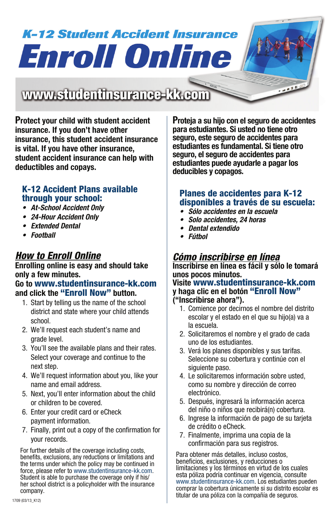# **K-12 Student Accident Insurance Enroll Online**

## www.studentinsurance-kk.com

**Protect your child with student accident insurance. If you don't have other insurance, this student accident insurance is vital. If you have other insurance, student accident insurance can help with deductibles and copays.**

## K-12 Accident Plans available through your school:

- *• At-School Accident Only*
- *• 24-Hour Accident Only*
- *• Extended Dental*
- *• Football*

## *How to Enroll Online*

### **Enrolling online is easy and should take only a few minutes.**

#### **Go to** www.studentinsurance-kk.com **and click the** "Enroll Now" **button.**

- 1. Start by telling us the name of the school district and state where your child attends school.
- 2. We'll request each student's name and grade level.
- 3. You'll see the available plans and their rates. Select your coverage and continue to the next step.
- 4. We'll request information about you, like your name and email address.
- 5. Next, you'll enter information about the child or children to be covered.
- 6. Enter your credit card or eCheck payment information.
- 7. Finally, print out a copy of the confirmation for your records.

 For further details of the coverage including costs, benefits, exclusions, any reductions or limitations and the terms under which the policy may be continued in force, please refer to www.studentinsurance-kk.com. Student is able to purchase the coverage only if his/ her school district is a policyholder with the insurance company.

**Proteja a su hijo con el seguro de accidentes para estudiantes. Si usted no tiene otro seguro, este seguro de accidentes para estudiantes es fundamental. Si tiene otro seguro, el seguro de accidentes para estudiantes puede ayudarle a pagar los deducibles y copagos.**

**1990** 

## Planes de accidentes para K-12 disponibles a través de su escuela:

- *Sólo accidentes en la escuela*
- *Solo accidentes, 24 horas*
- *Dental extendido*
- *Fútbol*

## *Cómo inscribirse en línea*

**Inscribirse en línea es fácil y sólo le tomará unos pocos minutos. Visite** www.studentinsurance-kk.com

**y haga clic en el botón** "Enroll Now" **("Inscribirse ahora").**

- 1. Comience por decirnos el nombre del distrito escolar y el estado en el que su hijo(a) va a la escuela.
- 2. Solicitaremos el nombre y el grado de cada uno de los estudiantes.
- 3. Verá los planes disponibles y sus tarifas. Seleccione su cobertura y continúe con el siguiente paso.
- 4. Le solicitaremos información sobre usted, como su nombre y dirección de correo electrónico.
- 5. Después, ingresará la información acerca del niño o niños que recibirá(n) cobertura.
- 6. Ingrese la información de pago de su tarjeta de crédito o eCheck.
- 7. Finalmente, imprima una copia de la confirmación para sus registros.

 Para obtener más detalles, incluso costos, beneficios, exclusiones, y reducciones o limitaciones y los términos en virtud de los cuales esta póliza podría continuar en vigencia, consulte www.studentinsurance-kk.com. Los estudiantes pueden comprar la cobertura únicamente si su distrito escolar es titular de una póliza con la compañía de seguros.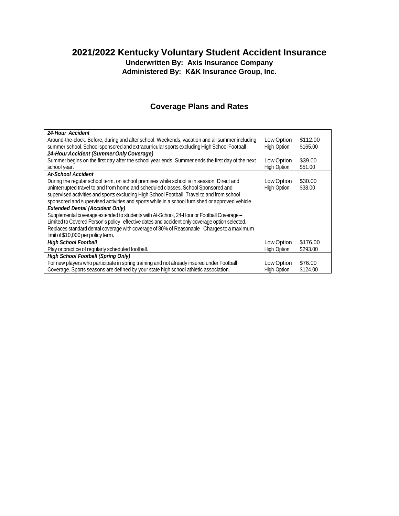## **2021/2022 Kentucky Voluntary Student Accident Insurance**

**Underwritten By: Axis Insurance Company Administered By: K&K Insurance Group, Inc.**

## **Coverage Plans and Rates**

| <b>24-Hour Accident</b>                                                                          |             |          |
|--------------------------------------------------------------------------------------------------|-------------|----------|
| Around-the-clock. Before, during and after school. Weekends, vacation and all summer including   | Low Option  | \$112.00 |
| summer school. School sponsored and extracurricular sports excluding High School Football        | High Option | \$165.00 |
| 24-Hour Accident (Summer Only Coverage)                                                          |             |          |
| Summer begins on the first day after the school year ends. Summer ends the first day of the next | Low Option  | \$39.00  |
| school year.                                                                                     | High Option | \$51.00  |
| <b>At-School Accident</b>                                                                        |             |          |
| During the regular school term, on school premises while school is in session. Direct and        | Low Option  | \$30.00  |
| uninterrupted travel to and from home and scheduled classes. School Sponsored and                | High Option | \$38.00  |
| supervised activities and sports excluding High School Football. Travel to and from school       |             |          |
| sponsored and supervised activities and sports while in a school furnished or approved vehicle.  |             |          |
| <b>Extended Dental (Accident Only)</b>                                                           |             |          |
| Supplemental coverage extended to students with At-School, 24-Hour or Football Coverage –        |             |          |
| Limited to Covered Person's policy effective dates and accident only coverage option selected.   |             |          |
| Replaces standard dental coverage with coverage of 80% of Reasonable Charges to a maximum        |             |          |
| limit of \$10,000 per policy term.                                                               |             |          |
| <b>High School Football</b>                                                                      | Low Option  | \$176.00 |
| Play or practice of regularly scheduled football.                                                | High Option | \$293.00 |
| <b>High School Football (Spring Only)</b>                                                        |             |          |
| For new players who participate in spring training and not already insured under Football        | Low Option  | \$76.00  |
| Coverage. Sports seasons are defined by your state high school athletic association.             | High Option | \$124.00 |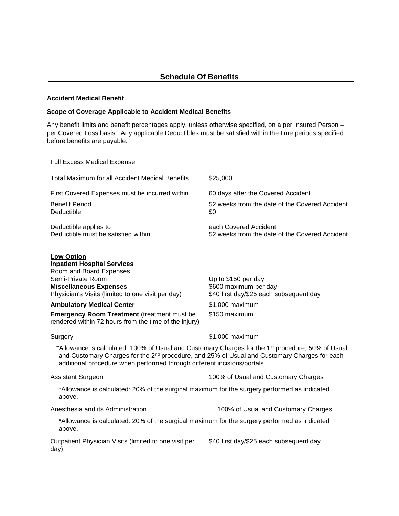## **Accident Medical Benefit**

## **Scope of Coverage Applicable to Accident Medical Benefits**

Any benefit limits and benefit percentages apply, unless otherwise specified, on a per Insured Person – per Covered Loss basis. Any applicable Deductibles must be satisfied within the time periods specified before benefits are payable.

Full Excess Medical Expense

| Total Maximum for all Accident Medical Benefits                                                         | \$25,000                                                                |
|---------------------------------------------------------------------------------------------------------|-------------------------------------------------------------------------|
| First Covered Expenses must be incurred within                                                          | 60 days after the Covered Accident                                      |
| <b>Benefit Period</b><br>Deductible                                                                     | 52 weeks from the date of the Covered Accident<br>\$0                   |
| Deductible applies to<br>Deductible must be satisfied within                                            | each Covered Accident<br>52 weeks from the date of the Covered Accident |
| <b>Low Option</b><br><b>Inpatient Hospital Services</b><br>Room and Board Expenses<br>Semi-Private Room | Up to \$150 per day                                                     |

**Miscellaneous Expenses** Physician's Visits (limited to one visit per day)

**Ambulatory Medical Center 1.000 maximum Emergency Room Treatment** (treatment must be

rendered within 72 hours from the time of the injury)

\$600 maximum per day \$40 first day/\$25 each subsequent day

\$150 maximum

Surgery **\$1,000 maximum** 

 \*Allowance is calculated: 100% of Usual and Customary Charges for the 1st procedure, 50% of Usual and Customary Charges for the 2<sup>nd</sup> procedure, and 25% of Usual and Customary Charges for each additional procedure when performed through different incisions/portals.

Assistant Surgeon 100% of Usual and Customary Charges

\*Allowance is calculated: 20% of the surgical maximum for the surgery performed as indicated above.

Anesthesia and its Administration 100% of Usual and Customary Charges

\*Allowance is calculated: 20% of the surgical maximum for the surgery performed as indicated above.

Outpatient Physician Visits (limited to one visit per day)

\$40 first day/\$25 each subsequent day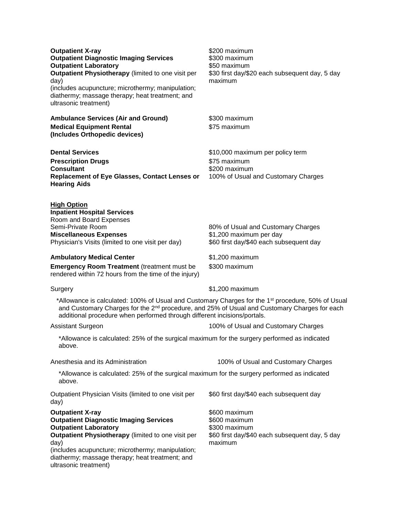| <b>Outpatient X-ray</b><br><b>Outpatient Diagnostic Imaging Services</b><br><b>Outpatient Laboratory</b><br>Outpatient Physiotherapy (limited to one visit per<br>day)<br>(includes acupuncture; microthermy; manipulation;<br>diathermy; massage therapy; heat treatment; and<br>ultrasonic treatment) | \$200 maximum<br>\$300 maximum<br>\$50 maximum<br>\$30 first day/\$20 each subsequent day, 5 day<br>maximum  |  |  |
|---------------------------------------------------------------------------------------------------------------------------------------------------------------------------------------------------------------------------------------------------------------------------------------------------------|--------------------------------------------------------------------------------------------------------------|--|--|
| <b>Ambulance Services (Air and Ground)</b><br><b>Medical Equipment Rental</b><br>(Includes Orthopedic devices)                                                                                                                                                                                          | \$300 maximum<br>\$75 maximum                                                                                |  |  |
| <b>Dental Services</b><br><b>Prescription Drugs</b><br><b>Consultant</b><br><b>Replacement of Eye Glasses, Contact Lenses or</b><br><b>Hearing Aids</b>                                                                                                                                                 | \$10,000 maximum per policy term<br>\$75 maximum<br>\$200 maximum<br>100% of Usual and Customary Charges     |  |  |
| <b>High Option</b><br><b>Inpatient Hospital Services</b><br>Room and Board Expenses<br>Semi-Private Room<br><b>Miscellaneous Expenses</b><br>Physician's Visits (limited to one visit per day)                                                                                                          | 80% of Usual and Customary Charges<br>\$1,200 maximum per day<br>\$60 first day/\$40 each subsequent day     |  |  |
| <b>Ambulatory Medical Center</b>                                                                                                                                                                                                                                                                        | \$1,200 maximum                                                                                              |  |  |
| <b>Emergency Room Treatment (treatment must be</b><br>rendered within 72 hours from the time of the injury)                                                                                                                                                                                             | \$300 maximum                                                                                                |  |  |
| Surgery                                                                                                                                                                                                                                                                                                 | \$1,200 maximum                                                                                              |  |  |
| *Allowance is calculated: 100% of Usual and Customary Charges for the 1 <sup>st</sup> procedure, 50% of Usual<br>and Customary Charges for the 2 <sup>nd</sup> procedure, and 25% of Usual and Customary Charges for each<br>additional procedure when performed through different incisions/portals.   |                                                                                                              |  |  |
| <b>Assistant Surgeon</b>                                                                                                                                                                                                                                                                                | 100% of Usual and Customary Charges                                                                          |  |  |
| *Allowance is calculated: 25% of the surgical maximum for the surgery performed as indicated<br>above.                                                                                                                                                                                                  |                                                                                                              |  |  |
| Anesthesia and its Administration                                                                                                                                                                                                                                                                       | 100% of Usual and Customary Charges                                                                          |  |  |
| *Allowance is calculated: 25% of the surgical maximum for the surgery performed as indicated<br>above.                                                                                                                                                                                                  |                                                                                                              |  |  |
| Outpatient Physician Visits (limited to one visit per<br>day)                                                                                                                                                                                                                                           | \$60 first day/\$40 each subsequent day                                                                      |  |  |
| <b>Outpatient X-ray</b><br><b>Outpatient Diagnostic Imaging Services</b><br><b>Outpatient Laboratory</b><br>Outpatient Physiotherapy (limited to one visit per<br>day)<br>(includes acupuncture; microthermy; manipulation;<br>diathermy; massage therapy; heat treatment; and<br>ultrasonic treatment) | \$600 maximum<br>\$600 maximum<br>\$300 maximum<br>\$60 first day/\$40 each subsequent day, 5 day<br>maximum |  |  |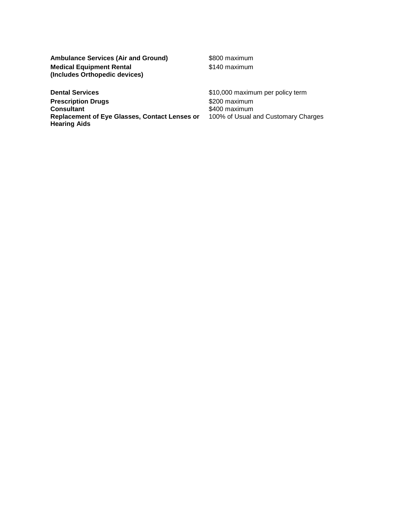Ambulance Services (Air and Ground) \$800 maximum **Medical Equipment Rental (Includes Orthopedic devices)**

\$140 maximum

**Dental Services but all the state of the state of the state of the state of \$10,000 maximum per policy term Prescription Drugs Consultant Replacement of Eye Glasses, Contact Lenses or Hearing Aids**

\$200 maximum \$400 maximum 100% of Usual and Customary Charges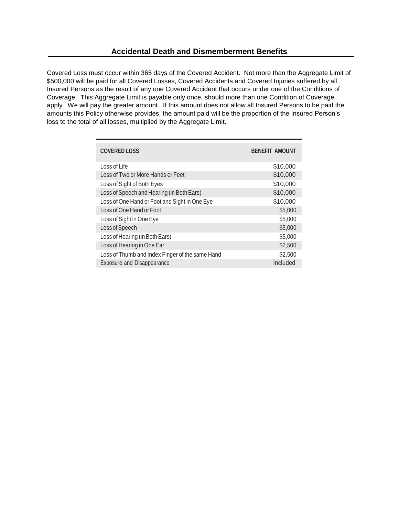Covered Loss must occur within 365 days of the Covered Accident. Not more than the Aggregate Limit of \$500,000 will be paid for all Covered Losses, Covered Accidents and Covered Injuries suffered by all Insured Persons as the result of any one Covered Accident that occurs under one of the Conditions of Coverage. This Aggregate Limit is payable only once, should more than one Condition of Coverage apply. We will pay the greater amount. If this amount does not allow all Insured Persons to be paid the amounts this Policy otherwise provides, the amount paid will be the proportion of the Insured Person's loss to the total of all losses, multiplied by the Aggregate Limit.

| <b>COVERED LOSS</b>                             | <b>BENEFIT AMOUNT</b> |
|-------------------------------------------------|-----------------------|
| Loss of Life                                    | \$10,000              |
| Loss of Two or More Hands or Feet               | \$10,000              |
| Loss of Sight of Both Eyes                      | \$10,000              |
| Loss of Speech and Hearing (in Both Ears)       | \$10,000              |
| Loss of One Hand or Foot and Sight in One Eye   | \$10,000              |
| Loss of One Hand or Foot                        | \$5,000               |
| Loss of Sight in One Eye                        | \$5,000               |
| Loss of Speech                                  | \$5,000               |
| Loss of Hearing (in Both Ears)                  | \$5,000               |
| Loss of Hearing in One Ear                      | \$2,500               |
| Loss of Thumb and Index Finger of the same Hand | \$2,500               |
| Exposure and Disappearance                      | Included              |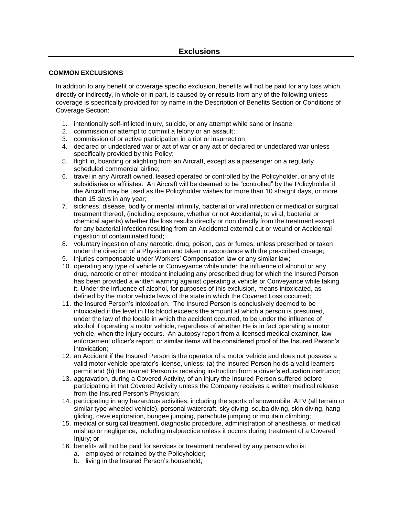## **COMMON EXCLUSIONS**

In addition to any benefit or coverage specific exclusion, benefits will not be paid for any loss which directly or indirectly, in whole or in part, is caused by or results from any of the following unless coverage is specifically provided for by name in the Description of Benefits Section or Conditions of Coverage Section:

- 1. intentionally self-inflicted injury, suicide, or any attempt while sane or insane;
- 2. commission or attempt to commit a felony or an assault;
- 3. commission of or active participation in a riot or insurrection;
- 4. declared or undeclared war or act of war or any act of declared or undeclared war unless specifically provided by this Policy;
- 5. flight in, boarding or alighting from an Aircraft, except as a passenger on a regularly scheduled commercial airline;
- 6. travel in any Aircraft owned, leased operated or controlled by the Policyholder, or any of its subsidiaries or affiliates. An Aircraft will be deemed to be "controlled" by the Policyholder if the Aircraft may be used as the Policyholder wishes for more than 10 straight days, or more than 15 days in any year;
- 7. sickness, disease, bodily or mental infirmity, bacterial or viral infection or medical or surgical treatment thereof, (including exposure, whether or not Accidental, to viral, bacterial or chemical agents) whether the loss results directly or non directly from the treatment except for any bacterial infection resulting from an Accidental external cut or wound or Accidental ingestion of contaminated food;
- 8. voluntary ingestion of any narcotic, drug, poison, gas or fumes, unless prescribed or taken under the direction of a Physician and taken in accordance with the prescribed dosage;
- 9. injuries compensable under Workers' Compensation law or any similar law;
- 10. operating any type of vehicle or Conveyance while under the influence of alcohol or any drug, narcotic or other intoxicant including any prescribed drug for which the Insured Person has been provided a written warning against operating a vehicle or Conveyance while taking it. Under the influence of alcohol, for purposes of this exclusion, means intoxicated, as defined by the motor vehicle laws of the state in which the Covered Loss occurred;
- 11. the Insured Person's intoxication. The Insured Person is conclusively deemed to be intoxicated if the level in His blood exceeds the amount at which a person is presumed, under the law of the locale in which the accident occurred, to be under the influence of alcohol if operating a motor vehicle, regardless of whether He is in fact operating a motor vehicle, when the injury occurs. An autopsy report from a licensed medical examiner, law enforcement officer's report, or similar items will be considered proof of the Insured Person's intoxication;
- 12. an Accident if the Insured Person is the operator of a motor vehicle and does not possess a valid motor vehicle operator's license, unless: (a) the Insured Person holds a valid learners permit and (b) the Insured Person is receiving instruction from a driver's education instructor;
- 13. aggravation, during a Covered Activity, of an injury the Insured Person suffered before participating in that Covered Activity unless the Company receives a written medical release from the Insured Person's Physician;
- 14. participating in any hazardous activities, including the sports of snowmobile, ATV (all terrain or similar type wheeled vehicle), personal watercraft, sky diving, scuba diving, skin diving, hang gliding, cave exploration, bungee jumping, parachute jumping or moutain climbing;
- 15. medical or surgical treatment, diagnostic procedure, administration of anesthesia, or medical mishap or negligence, including malpractice unless it occurs during treatment of a Covered Injury; or
- 16. benefits will not be paid for services or treatment rendered by any person who is:
	- a. employed or retained by the Policyholder;
	- b. living in the Insured Person's household;